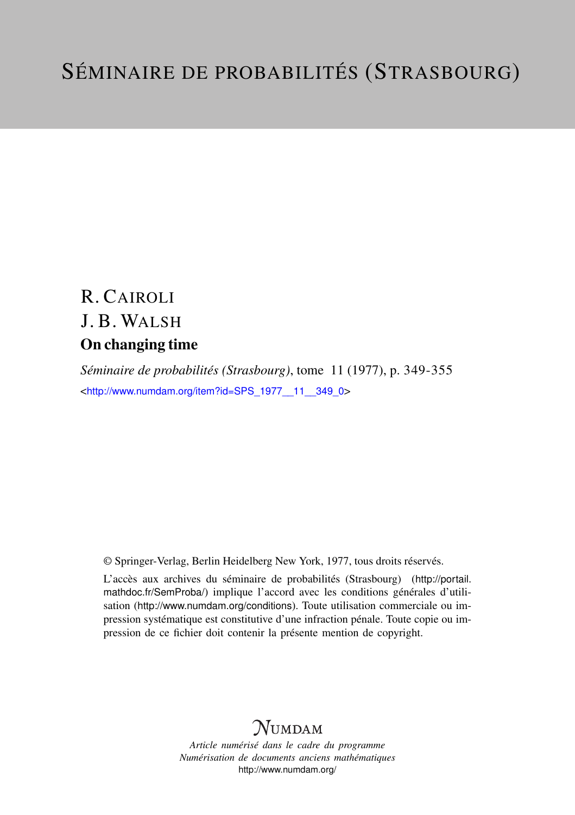## R. CAIROLI J. B. WALSH On changing time

*Séminaire de probabilités (Strasbourg)*, tome 11 (1977), p. 349-355 <[http://www.numdam.org/item?id=SPS\\_1977\\_\\_11\\_\\_349\\_0](http://www.numdam.org/item?id=SPS_1977__11__349_0)>

© Springer-Verlag, Berlin Heidelberg New York, 1977, tous droits réservés.

L'accès aux archives du séminaire de probabilités (Strasbourg) ([http://portail.](http://portail.mathdoc.fr/SemProba/) [mathdoc.fr/SemProba/](http://portail.mathdoc.fr/SemProba/)) implique l'accord avec les conditions générales d'utilisation (<http://www.numdam.org/conditions>). Toute utilisation commerciale ou impression systématique est constitutive d'une infraction pénale. Toute copie ou impression de ce fichier doit contenir la présente mention de copyright.

## **NUMDAM**

*Article numérisé dans le cadre du programme Numérisation de documents anciens mathématiques* <http://www.numdam.org/>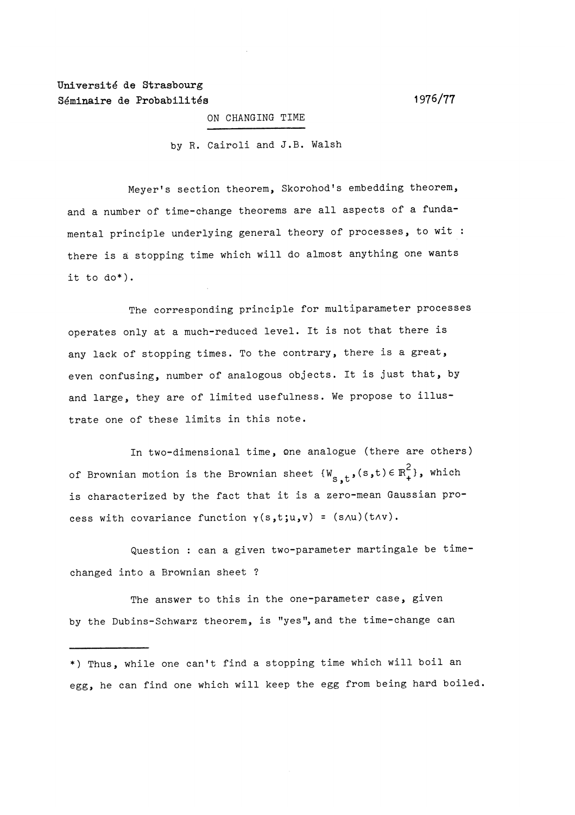## Université de Strasbourg Séminaire de Probabilités (1976/77

ON CHANGING TIME

by R. Cairoli and J.B. Walsh

Meyer's section theorem, Skorohod's embedding theorem, and a number of time-change theorems are all aspects of a fundamental principle underlying general theory of processes, to wit : there is a stopping time which will do almost anything one wants it to do\*).

The corresponding principle for multiparameter processes operates only at a much-reduced level. It is not that there is any lack of stopping times. To the contrary, there is a great, even confusing, number of analogous objects. It is just that, by and large, they are of limited usefulness. We propose to illustrate one of these limits in this note.

In two-dimensional time, one analogue (there are others) of Brownian motion is the Brownian sheet  $\{W_{s,t}, (s,t) \in \mathbb{R}_+^2\}$ , which is characterized by the fact that it is a zero-mean Gaussian process with covariance function  $\gamma(s,t;u,v)$  =  $(s\wedge u)(t\wedge v)$ .

Question : can a given two-parameter martingale be timechanged into a Brownian sheet ?

The answer to this in the one-parameter case, given by the Dubins-Schwarz theorem, is "yes", and the time-change can

\*) Thus, while one can't find a stopping time which will boil an egg, he can find one which will keep the egg from being hard boiled.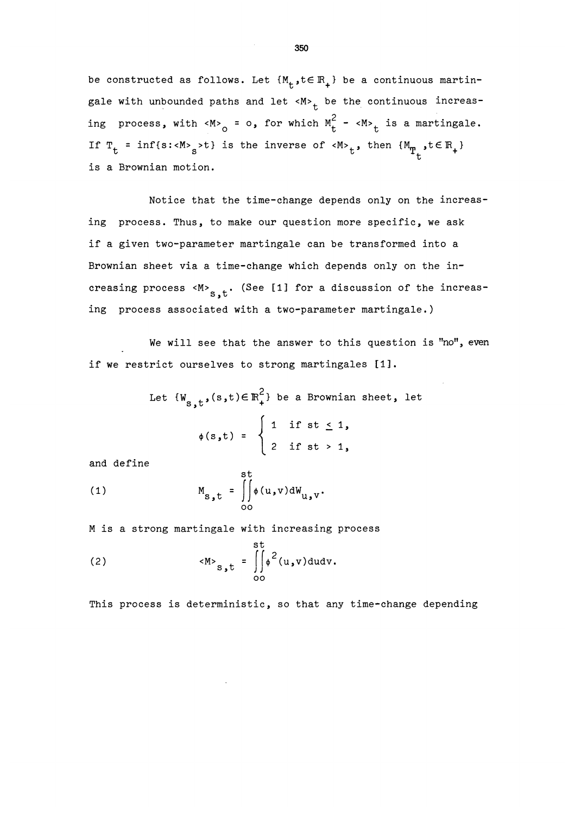be constructed as follows. Let  ${M_t, t \in \mathbb{R}_+}$  be a continuous martingale with unbounded paths and let  $\langle M \rangle_t$  be the continuous increasing process, with <M><sub>0</sub> = o, for which  $M_t^2$  - <M><sub>t</sub> is a martingale. If  $T_t = inf\{s: \langle M \rangle_s > t\}$  is the inverse of  $\langle M \rangle_t$ , then  $\{M_{T_t}, t \in \mathbb{R}_+\}$ is a Brownian motion.

Notice that the time-change depends only on the increasing process. Thus, to make our question more specific, we ask if a given two-parameter martingale can be transformed into a Brownian sheet via a time-change which depends only on the increasing process < $M>$ <sub>S.t</sub>. (See [1] for a discussion of the increasing process associated with a two-parameter martingale.)

~ We will see that the answer to this question is "no", even if we restrict ourselves to strong martingales  $[1]$ .

Let 
$$
\{W_{s,t}, (s,t) \in \mathbb{R}_+^2\}
$$
 be a Brownian sheet, let  
\n
$$
\phi(s,t) = \begin{cases}\n1 & \text{if } st \leq 1, \\
2 & \text{if } st > 1,\n\end{cases}
$$

and define

(1) 
$$
M_{s,t} = \iint_{0}^{t} \phi(u,v) dW_{u,v}.
$$

M is a strong martingale with increasing process

st

(2) 
$$
\langle M \rangle_{S,t} = \iint_{00}^{st} \phi^2(u,v) du dv.
$$

This process is deterministic, so that any time-change depending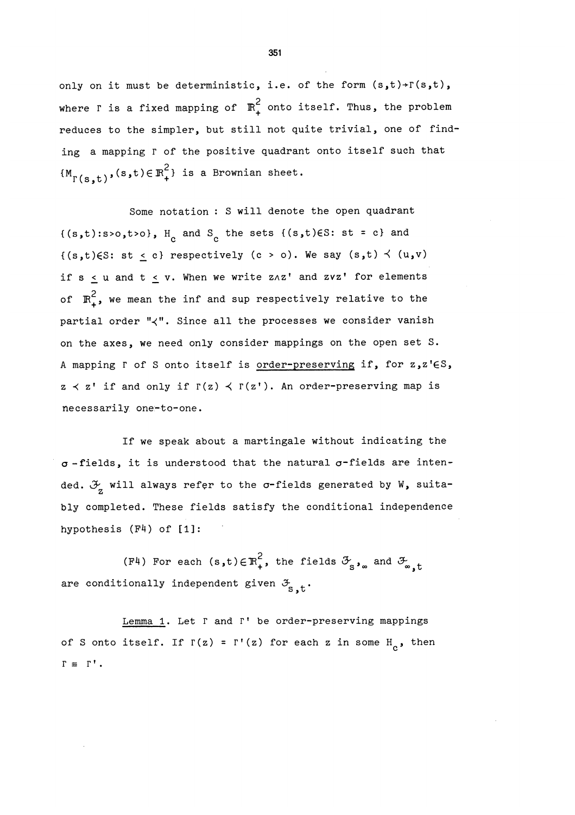only on it must be deterministic, i.e. of the form  $(s,t)$ + $r(s,t)$ , where I is a fixed mapping of  $\mathbb{R}^2$  onto itself. Thus, the problem reduces to the simpler, but still not quite trivial, one of finding a mapping r of the positive quadrant onto itself such that  $\{M_{\Gamma(s,t)},(s,t)\in\mathbb{R}_+^2\}$  is a Brownian sheet.

Some notation : S will denote the open quadrant  ${(s,t):s>0,t>0}, H_c$  and  $S_c$  the sets  ${(s,t)\in S: st = c}$  and  ${(s,t)\in S: st \le c}$  respectively  $(c > o)$ . We say  $(s,t) \prec (u,v)$ if  $s \le u$  and  $t \le v$ . When we write z $a^t$  and zvz' for elements of  $\mathbb{R}^2$ , we mean the inf and sup respectively relative to the partial order " $\langle$ ". Since all the processes we consider vanish on the axes, we need only consider mappings on the open set S. A mapping  $\Gamma$  of S onto itself is order-preserving if, for z,z'ES,  $z \lt z'$  if and only if  $\Gamma(z) \lt \Gamma(z')$ . An order-preserving map is necessarily one-to-one.

If we speak about a martingale without indicating the  $\sigma$ -fields, it is understood that the natural  $\sigma$ -fields are intended.  $\mathcal{F}_{\sigma}$  will always refer to the  $\sigma$ -fields generated by W, suitably completed. These fields satisfy the conditional independence hypothesis (F4) of [1]:

(F4) For each  $(s,t)\in \mathbb{R}^2_+$ , the fields  $\mathcal{F}_{s}$ , and  $\mathcal{F}_{s,t}$ are conditionally independent given  $\mathcal{F}_{S-t}$ .

Lemma 1. Let  $\Gamma$  and  $\Gamma'$  be order-preserving mappings of S onto itself. If  $\Gamma(z) = \Gamma'(z)$  for each z in some H<sub>c</sub>, then  $\Gamma = \Gamma'$ .

351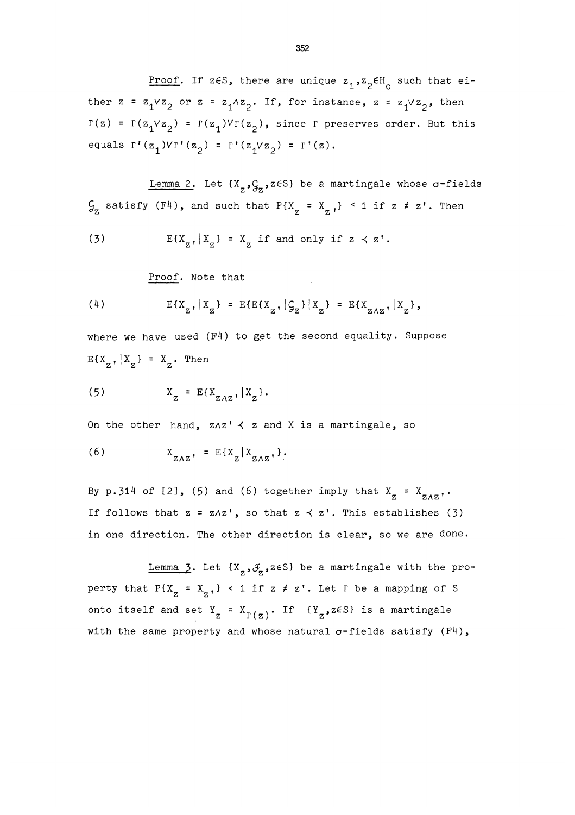Proof. If z $\epsilon$ S, there are unique  $z_1$ ,  $z_2 \epsilon$ H<sub>c</sub> such that either  $z = z_1 \vee z_2$  or  $z = z_1 \wedge z_2$ . If, for instance,  $z = z_1 \vee z_2$ , then  $\Gamma(z) = \Gamma(z_1 \vee z_2) = \Gamma(z_1) \vee \Gamma(z_2)$ , since  $\Gamma$  preserves order. But this equals  $\Gamma'(\mathbf{z}_1)\vee\Gamma'(\mathbf{z}_2) = \Gamma'(\mathbf{z}_1\vee\mathbf{z}_2) = \Gamma'(\mathbf{z}).$ 

Lemma 2. Let  $\{X_{p}, \mathcal{G}_{p}, z \in S\}$  be a martingale whose  $\sigma$ -fields  $\mathcal{G}_z$  satisfy (F4), and such that P{X<sub>z</sub> = X<sub>z</sub>,} < 1 if z  $\neq$  z'. Then

(3) 
$$
E\{X_{z}, |X_{z}\} = X_{z} \text{ if and only if } z \prec z'.
$$

Proof. Note that

(4) 
$$
E{X_{z}, |X_{z}|} = E{E{X_{z}, |G_{z}| |X_{z}} = E{X_{z \wedge z}, |X_{z}|}
$$

where we have used (F4) to get the second equality. Suppose  $E{X_{z}$ ,  $X_{z}} = X_{z}$ . Then

$$
(5) \qquad \qquad X_{Z} = E\{X_{Z\wedge Z}, |X_{Z}\}.
$$

On the other hand,  $z \wedge z'$  and X is a martingale, so

$$
(6) \t\t xZAZ' = E{XZ | XZAZ' }.
$$

By p.314 of [2], (5) and (6) together imply that  $X_{Z} = X_{ZAZ}$ . If follows that  $z = z \wedge z'$ , so that  $z \prec z'$ . This establishes (3) in one direction. The other direction is clear, so we are done.

Lemma 3. Let  $\{X_{z}, \mathcal{J}_{z}, z \in S\}$  be a martingale with the property that  $P\{X_{z} = X_{z} \}$  < 1 if  $z \neq z'$ . Let  $\Gamma$  be a mapping of S onto itself and set  $Y_{Z} = X_{\Gamma(z)}$ . If  ${Y_{Z}}$ ,  $z \in S$  is a martingale with the same property and whose natural  $\sigma$ -fields satisfy (F4),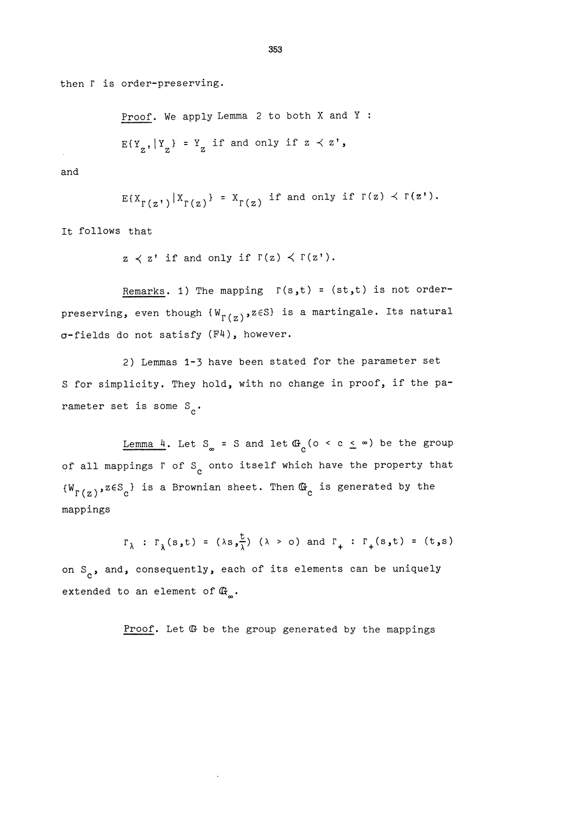then  $\Gamma$  is order-preserving.

Proof. We apply Lemma 2 to both X and Y :  $E{Y_{\sigma}, |Y_{\sigma}} = Y_{\sigma}$  if and only if  $z \prec z'$ ,

and

$$
E\{X_{\Gamma(z^*)}|X_{\Gamma(z)}\} = X_{\Gamma(z)} \text{ if and only if } \Gamma(z) \prec \Gamma(z^*).
$$

It follows that

 $z \leq z'$  if and only if  $\Gamma(z) \leq \Gamma(z')$ .

Remarks. 1) The mapping  $r(s,t) = (st,t)$  is not orderpreserving, even though  $\{W_{\Gamma(z)}, z \in S\}$  is a martingale. Its natural 6-fields do not satisfy (F4), however.

2) Lemmas 1-3 have been stated for the-parameter set S for simplicity. They hold, with no change in proof, if the parameter set is some  $S_{\alpha}$ .

<u>Lemma 4</u>. Let S<sub>∞</sub> = S and let  $\mathbb{G}_{\alpha}$  (o < c  $\leq$  ∞) be the group of all mappings  $\Gamma$  of  $S_c$  onto itself which have the property that  $\{W_{\Gamma(z)}, z \in S_c\}$  is a Brownian sheet. Then  $G_c$  is generated by the mappings

 $\Gamma_{\lambda}$  :  $\Gamma_{\lambda}(s,t) = (\lambda s, \frac{t}{\lambda}) (\lambda > 0)$  and  $\Gamma_{+}$  :  $\Gamma_{+}(s,t) = (t,s)$ 

on  $S_{\alpha}$ , and, consequently, each of its elements can be uniquely extended to an element of  $\mathbb{G}_{n}$ .

Proof. Let G be the group generated by the mappings

353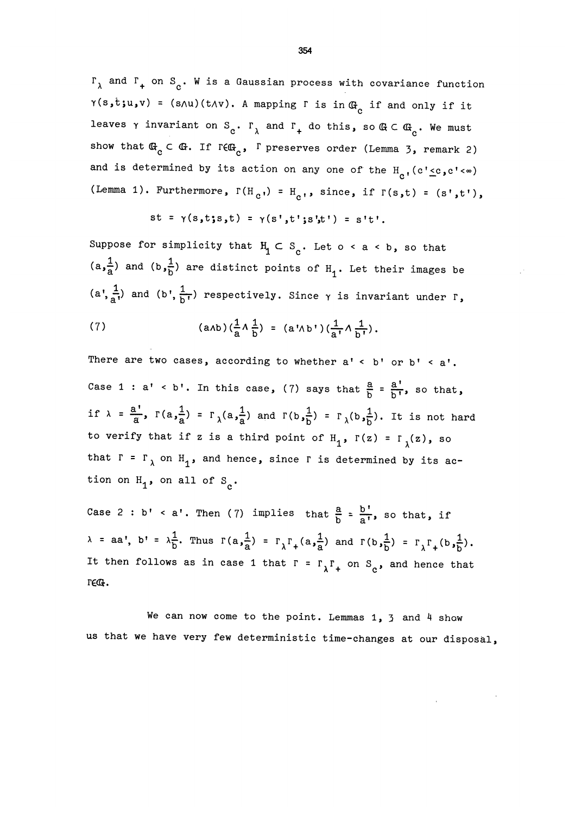$\Gamma_{\lambda}$  and  $\Gamma_{+}$  on S<sub>c</sub>. W is a Gaussian process with covariance function  $\gamma(s,t;u,v)$  = (s $\land u$ )(t $\land v$ ). A mapping  $\Gamma$  is in  $@_{c}$  if and only if it leaves  $\gamma$  invariant on  $S_c$ .  $\Gamma_\lambda$  and  $\Gamma_+$  do this, so  $\mathbb{G} \subset \mathbb{G}_c$ . We must show that  $\mathbb{G}_c \subset \mathbb{G}$ . If  $r \in \mathbb{G}_c$ ,  $\Gamma$  preserves order (Lemma 3, remark 2) and is determined by its action on any one of the  $H_{c}$ , (c' $\leq c$ , c' $\lt \infty$ ) (Lemma 1). Furthermore,  $\Gamma(H_{c}) = H_{c}$ , since, if  $\Gamma(s,t) = (s',t')$ ,

 $st = \gamma(s,t;s,t) = \gamma(s',t';s',t') = s't'.$ 

Suppose for simplicity that  $H_1 \subset S_c$ . Let o < a < b, so that  $(a, \frac{1}{a})$  and  $(b, \frac{1}{b})$  are distinct points of  $H_1$ . Let their images be  $(a^*, \frac{1}{a^*})$  and  $(b^*, \frac{1}{b^*})$  respectively. Since  $\gamma$  is invariant under  $\Gamma$ ,

(7) 
$$
(a \wedge b) (\frac{1}{a} \wedge \frac{1}{b}) = (a' \wedge b') (\frac{1}{a'} \wedge \frac{1}{b'})
$$
.

There are two cases, according to whether  $a' \le b'$  or  $b' \le a'$ . Case 1 : a' < b'. In this case, (7) says that  $\frac{a}{b} = \frac{a'}{b'}$ , so that, if  $\lambda = \frac{a'}{a}$ ,  $\Gamma(a,\frac{1}{a}) = \Gamma_{\lambda}(a,\frac{1}{a})$  and  $\Gamma(b,\frac{1}{b}) = \Gamma_{\lambda}(b,\frac{1}{b})$ . It is not hard to verify that if z is a third point of  $H_1$ ,  $\Gamma(z) = \Gamma_{\chi}(z)$ , so that  $\Gamma = \Gamma_{\lambda}$  on  $H_{1}$ , and hence, since  $\Gamma$  is determined by its action on  $H_1$ , on all of  $S_a$ .

Case 2 : b' < a'. Then (7) implies that  $\frac{a}{b} = \frac{b'}{a'}$ , so that, if  $\lambda$  = aa', b' =  $\lambda \frac{1}{b}$ . Thus  $\Gamma(a,\frac{1}{a})$  =  $\Gamma_{\lambda} \Gamma_{+}(a,\frac{1}{a})$  and  $\Gamma(b,\frac{1}{b})$  =  $\Gamma_{\lambda} \Gamma_{+}(b,\frac{1}{b})$ . It then follows as in case 1 that  $\Gamma = \Gamma_{\lambda} \Gamma_{+}$  on  $S_{c}$ , and hence that **rect.** 

We can now come to the point. Lemmas  $1$ ,  $3$  and  $4$  show us that we have very few deterministic time-changes at our disposal,